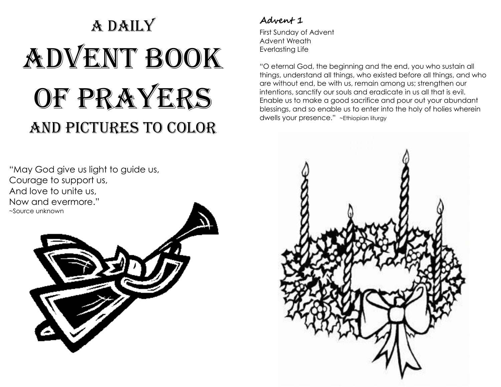# A DAILY Advent Book of prayers and pictures to color

# **Advent 1**

First Sunday of Advent Advent Wreath Everlasting Life

"O eternal God, the beginning and the end, you who sustain all things, understand all things, who existed before all things, and who are without end, be with us, remain among us; strengthen our intentions, sanctify our souls and eradicate in us all that is evil. Enable us to make a good sacrifice and pour out your abundant blessings, and so enable us to enter into the holy of holies wherein dwells your presence." ~Ethiopian liturgy



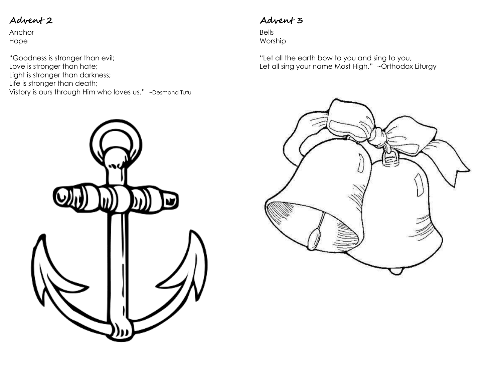Anchor Hope

"Goodness is stronger than evil; Love is stronger than hate; Light is stronger than darkness; Life is stronger than death; Vistory is ours through Him who loves us." ~Desmond Tutu



### **Advent 3**

Bells Worship

"Let all the earth bow to you and sing to you, Let all sing your name Most High." ~Orthodox Liturgy

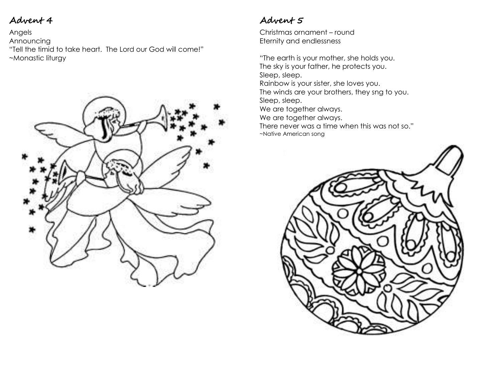Angels Announcing "Tell the timid to take heart. The Lord our God will come!" ~Monastic liturgy



# **Advent 5**

Christmas ornament – round Eternity and endlessness

"The earth is your mother, she holds you. The sky is your father, he protects you. Sleep, sleep. Rainbow is your sister, she loves you. The winds are your brothers, they sng to you. Sleep, sleep.

We are together always. We are together always.

There never was a time when this was not so." ~Native American song

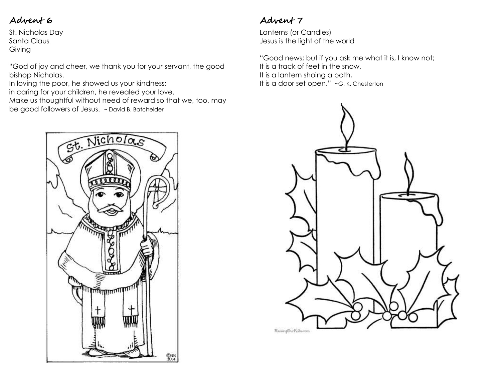St. Nicholas Day Santa Claus Giving

"God of joy and cheer, we thank you for your servant, the good bishop Nicholas.

In loving the poor, he showed us your kindness;

in caring for your children, he revealed your love.

Make us thoughtful without need of reward so that we, too, may

be good followers of Jesus. ~ David B. Batchelder

# St. Nicholas प्राप्त رىساسسىسىسىسى<br>پىيىساسىسىسىسى **OBN**<br>2004

# **Advent 7**

Lanterns (or Candles) Jesus is the light of the world

"Good news; but if you ask me what it is, I know not; It is a track of feet in the snow, It is a lantern shoing a path, It is a door set open." ~G. K. Chesterton

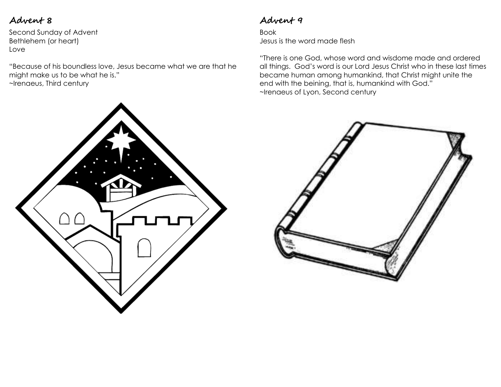Second Sunday of Advent Bethlehem (or heart) Love

"Because of his boundless love, Jesus became what we are that he might make us to be what he is." ~Irenaeus, Third century

# **Advent 9**

Book Jesus is the word made flesh

"There is one God, whose word and wisdome made and ordered all things. God's word is our Lord Jesus Christ who in these last times became human among humankind, that Christ might unite the end with the beining, that is, humankind with God." ~Irenaeus of Lyon, Second century



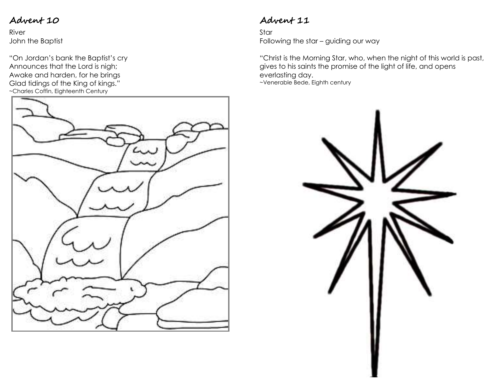River John the Baptist

"On Jordan's bank the Baptist's cry Announces that the Lord is nigh; Awake and harden, for he brings Glad tidings of the King of kings." ~Charles Coffin, Eighteenth Century



# **Advent 11**

Star Following the star – guiding our way

"Christ is the Morning Star, who, when the night of this world is past, gives to his saints the promise of the light of life, and opens everlasting day. ~Venerable Bede, Eighth century

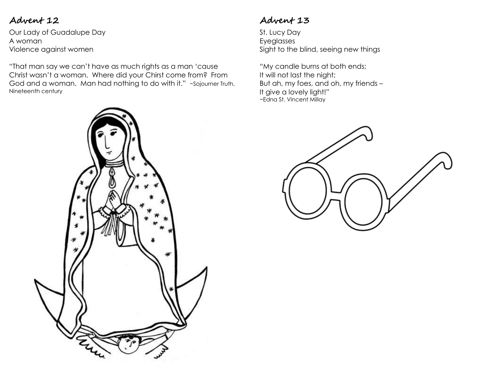Our Lady of Guadalupe Day A woman Violence against women

"That man say we can't have as much rights as a man 'cause Christ wasn't a woman. Where did your Chirst come from? From God and a woman. Man had nothing to do with it." ~Sojourner Truth, Nineteenth century



#### **Advent 13**

St. Lucy Day Eyeglasses Sight to the blind, seeing new things

"My candle burns at both ends; It will not last the night; But ah, my foes, and oh, my friends – It give a lovely light!" ~Edna St. Vincent Millay

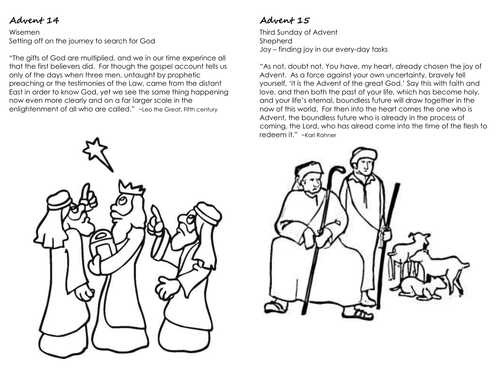#### Wisemen Setting off on the journey to search for God

"The gifts of God are multiplied, and we in our time experince all that the first believers did. For though the gospel account tells us only of the days when three men, untaught by prophetic preaching or the testimonies of the Law, came from the distant East in order to know God, yet we see the same thing happening now even more clearly and on a far larger scale in the enlightenment of all who are called." ~Leo the Great, Fifth century

# **Advent 15**

Third Sunday of Advent Shepherd Joy – finding joy in our every-day tasks

"As not, doubt not. You have, my heart, already chosen the joy of Advent. As a force against your own uncertainty, bravely tell yourself, 'It is the Advent of the great God.' Say this with faith and love, and then both the past of your life, which has become holy, and your life's eternal, boundless future will draw together in the now of this world. For then into the heart comes the one who is Advent, the boundless future who is already in the process of coming, the Lord, who has alread come into the time of the flesh to redeem it." ~Karl Rahner



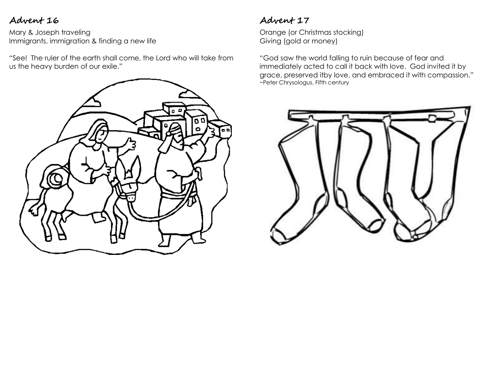Mary & Joseph traveling Immigrants, immigration & finding a new life

"See! The ruler of the earth shall come, the Lord who will take from us the heavy burden of our exile."



# **Advent 17**

Orange (or Christmas stocking) Giving (gold or money)

"God saw the world falling to ruin because of fear and immediately acted to call it back with love. God invited it by grace, preserved itby love, and embraced it with compassion." ~Peter Chrysologus, Fifth century

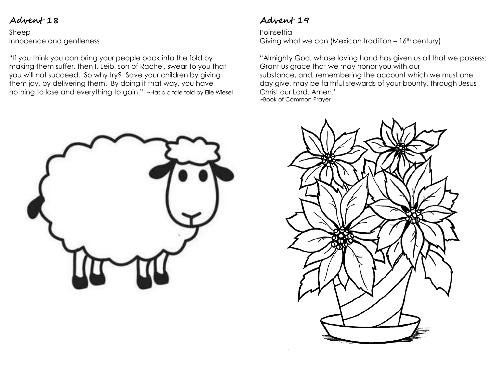Sheep Innocence and gentleness

"If you think you can bring your people back into the fold by making them suffer, then I, Leib, son of Rachel, swear to you that you will not succeed. So why try? Save your children by giving them joy, by delivering them. By doing it that way, you have nothing to lose and everything to gain." ~Hasidic tale told by Elie Wiesel

# **Advent 19**

**Poinsettia** Giving what we can (Mexican tradition  $-16$ <sup>th</sup> century)

"Almighty God, whose loving hand has given us all that we possess: Grant us grace that we may honor you with our substance, and, remembering the account which we must one day give, may be faithful stewards of your bounty, through Jesus Christ our Lord. Amen." ~Book of Common Prayer



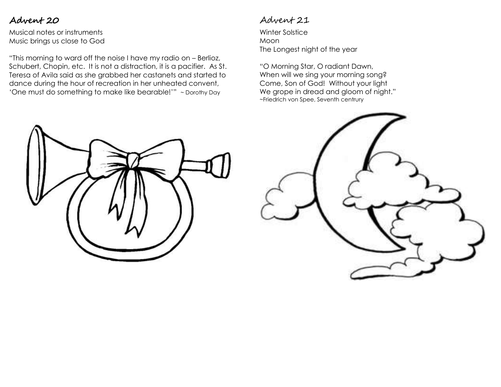Musical notes or instruments Music brings us close to God

"This morning to ward off the noise I have my radio on – Berlioz, Schubert, Chopin, etc. It is not a distraction, it is a pacifier. As St. Teresa of Avila said as she grabbed her castanets and started to dance during the hour of recreation in her unheated convent, 'One must do something to make like bearable!'" ~ Dorothy Day

#### Advent 21

Winter Solstice Moon The Longest night of the year

"O Morning Star, O radiant Dawn, When will we sing your morning song? Come, Son of God! Without your light We grope in dread and gloom of night." ~Friedrich von Spee, Seventh centrury



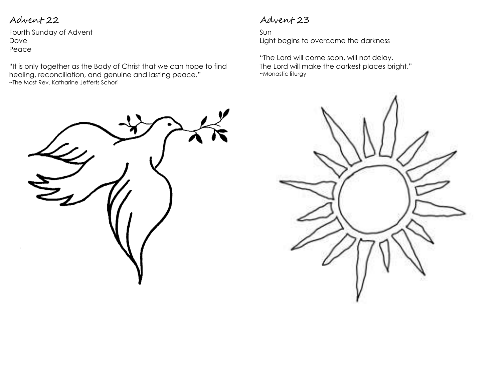Fourth Sunday of Advent Dove Peace

"It is only together as the Body of Christ that we can hope to find healing, reconciliation, and genuine and lasting peace." ~The Most Rev. Katharine Jefferts Schori

#### Advent 23

Sun Light begins to overcome the darkness

"The Lord will come soon, will not delay. The Lord will make the darkest places bright." ~Monastic liturgy



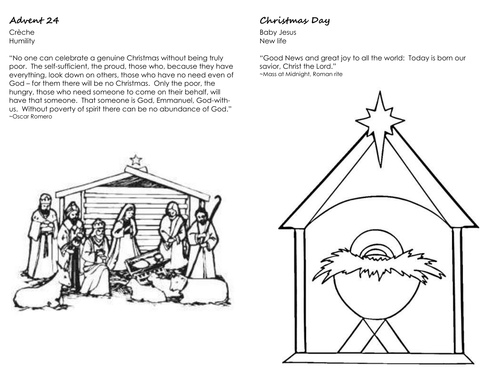Crèche **Humility** 

"No one can celebrate a genuine Christmas without being truly poor. The self-sufficient, the proud, those who, because they have everything, look down on others, those who have no need even of God – for them there will be no Christmas. Only the poor, the hungry, those who need someone to come on their behalf, will have that someone. That someone is God, Emmanuel, God-withus. Without poverty of spirit there can be no abundance of God." ~Oscar Romero

# **Christmas Day**

Baby Jesus New life

"Good News and great joy to all the world: Today is born our savior, Christ the Lord." ~Mass at Midnight, Roman rite